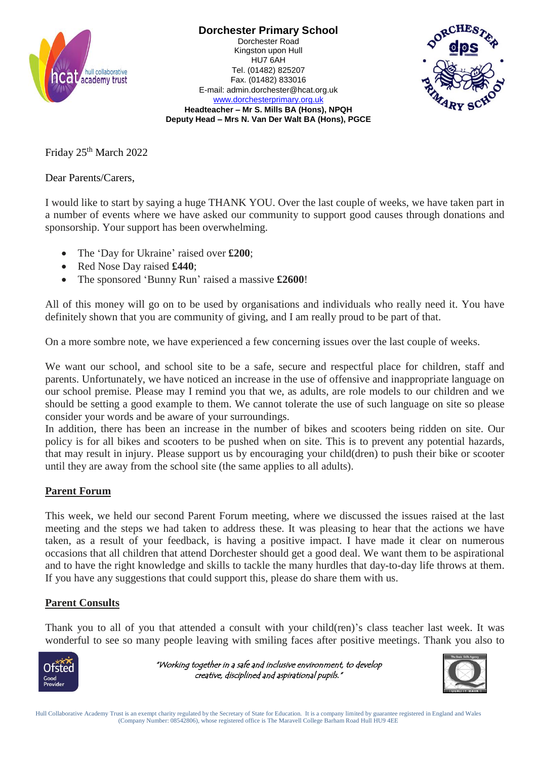

**Dorchester Primary School** Dorchester Road Kingston upon Hull HU7 6AH Tel. (01482) 825207 Fax. (01482) 833016



[www.dorchesterprimary.org.uk](http://www.dorchester.hull.sch.uk/) **Headteacher – Mr S. Mills BA (Hons), NPQH Deputy Head – Mrs N. Van Der Walt BA (Hons), PGCE**

E-mail: admin.dorchester@hcat.org.uk

Friday 25<sup>th</sup> March 2022

Dear Parents/Carers,

I would like to start by saying a huge THANK YOU. Over the last couple of weeks, we have taken part in a number of events where we have asked our community to support good causes through donations and sponsorship. Your support has been overwhelming.

- The 'Day for Ukraine' raised over **£200**;
- Red Nose Day raised **£440**;
- The sponsored 'Bunny Run' raised a massive **£2600**!

All of this money will go on to be used by organisations and individuals who really need it. You have definitely shown that you are community of giving, and I am really proud to be part of that.

On a more sombre note, we have experienced a few concerning issues over the last couple of weeks.

We want our school, and school site to be a safe, secure and respectful place for children, staff and parents. Unfortunately, we have noticed an increase in the use of offensive and inappropriate language on our school premise. Please may I remind you that we, as adults, are role models to our children and we should be setting a good example to them. We cannot tolerate the use of such language on site so please consider your words and be aware of your surroundings.

In addition, there has been an increase in the number of bikes and scooters being ridden on site. Our policy is for all bikes and scooters to be pushed when on site. This is to prevent any potential hazards, that may result in injury. Please support us by encouraging your child(dren) to push their bike or scooter until they are away from the school site (the same applies to all adults).

## **Parent Forum**

This week, we held our second Parent Forum meeting, where we discussed the issues raised at the last meeting and the steps we had taken to address these. It was pleasing to hear that the actions we have taken, as a result of your feedback, is having a positive impact. I have made it clear on numerous occasions that all children that attend Dorchester should get a good deal. We want them to be aspirational and to have the right knowledge and skills to tackle the many hurdles that day-to-day life throws at them. If you have any suggestions that could support this, please do share them with us.

## **Parent Consults**

Thank you to all of you that attended a consult with your child(ren)'s class teacher last week. It was wonderful to see so many people leaving with smiling faces after positive meetings. Thank you also to



"Working together in a safe and inclusive environment, to develop creative, disciplined and aspirational pupils."